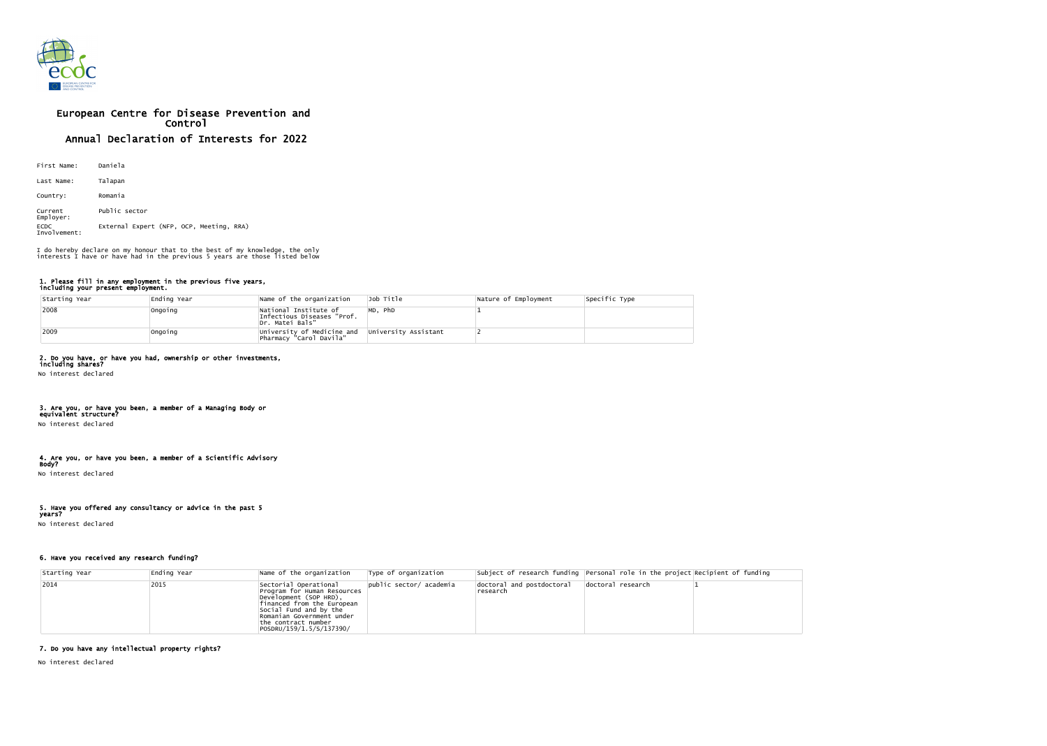

# European Centre for Disease Prevention and Control Annual Declaration of Interests for 2022

| First Name:                 | Daniela                                  |
|-----------------------------|------------------------------------------|
| Last Name:                  | Talapan                                  |
| Country:                    | Romania                                  |
| Current<br>Employer:        | Public sector                            |
| <b>ECDC</b><br>Involvement: | External Expert (NFP, OCP, Meeting, RRA) |

#### 1. Please fill in any employment in the previous five years, including your present employment.

| Starting Year | Ending Year | Name of the organization                                               | Job Title            | Nature of Employment | Specific Type |
|---------------|-------------|------------------------------------------------------------------------|----------------------|----------------------|---------------|
| 2008          | Ongoing     | National Institute of<br>Infectious Diseases "Prof.<br>Dr. Matei Bals" | MD, PhD              |                      |               |
| 2009          | Ongoing     | University of Medicine and<br>Pharmacy "Carol Davila"                  | University Assistant |                      |               |

## 2. Do you have, or have you had, ownership or other investments,

including shares? No interest declared

#### 3. Are you, or have you been, a member of a Managing Body or equivalent structure?

No interest declared

## 4. Are you, or have you been, a member of a Scientific Advisory

Body? No interest declared

### 5. Have you offered any consultancy or advice in the past 5

years? No interest declared

### 6. Have you received any research funding?

| Starting Year | Ending Year | Name of the organization                                                                                                                                                                                                | Type of organization    |                                       | Subject of research funding Personal role in the project Recipient of funding |  |
|---------------|-------------|-------------------------------------------------------------------------------------------------------------------------------------------------------------------------------------------------------------------------|-------------------------|---------------------------------------|-------------------------------------------------------------------------------|--|
| $ 2014$       | 2015        | Sectorial Operational<br>Program for Human Resources<br>Development (SOP HRD),<br>financed from the European<br>Social Fund and by the<br>Romanian Government under<br>the contract number<br> POSDRU/159/1.5/S/137390/ | public sector/ academia | doctoral and postdoctoral<br>research | doctoral research                                                             |  |

## 7. Do you have any intellectual property rights?

No interest declared

I do hereby declare on my honour that to the best of my knowledge, the only interests I have or have had in the previous 5 years are those listed below